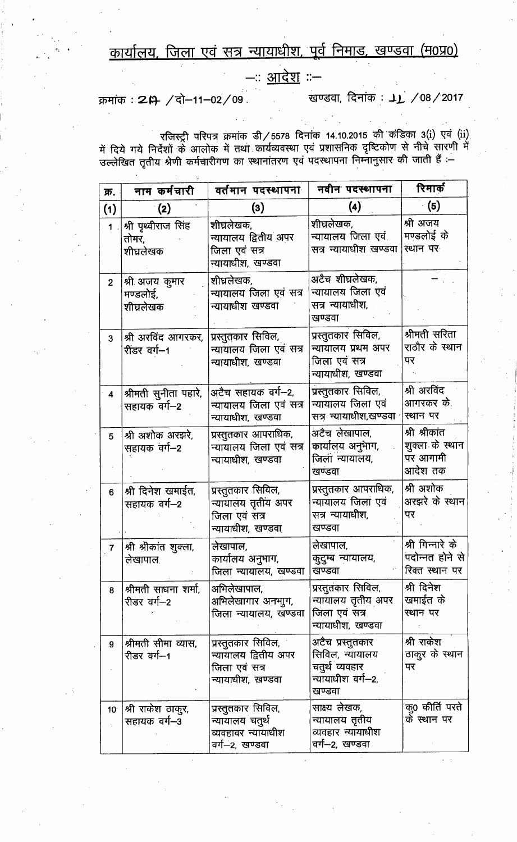कार्यालय, जिला एवं सत्र न्यायाधीश, पूर्व निमाड, खण्डवा (म0प्र0)

--: <u>आदेश</u> :--

क्रमांक: 20 / दो-11-02/09

खण्डवा, दिनांक : 11 /08/2017

रजिस्ट्री परिपत्र क्रमांक डी/5578 दिनांक 14.10.2015 की कंडिका 3(i) एवं (ii)<br>में दिये गये निर्देशों के आलोक में तथा कार्यव्यवस्था एवं प्रशासनिक दृष्टिकोण से नीचे सारणी में<br>उल्लेखित तृतीय श्रेणी कर्मचारीगण का स्थानांतरण एवं

| क्र.                    | नाम कर्मचारी                              | वर्तमान पदस्थापना                                                                | नवीन पदस्थापना                                                                       | रिमार्क                                                 |
|-------------------------|-------------------------------------------|----------------------------------------------------------------------------------|--------------------------------------------------------------------------------------|---------------------------------------------------------|
| (1)                     | (2)                                       | $\left( 3\right)$                                                                | $\left( 4\right)$                                                                    | (5)                                                     |
| $\mathbf 1$             | श्री पृथ्वीराज सिंह<br>तोमर,<br>शीघ्रलेखक | शीघ्रलेखक,<br>न्यायालय द्वितीय अपर<br>जिला एवं सत्र<br>न्यायाधीश, खण्डवा         | शीघ्रलेखक,<br>न्यायालय जिला एवं<br>सत्र न्यायाधीश खण्डवा                             | श्री अजय<br>मण्डलोई के<br>स्थान पर                      |
| $\overline{2}$          | श्री अजय कुमार<br>मण्डलोई,<br>शीघ्रलेखक   | शीघ्रलेखक,<br>न्यायालय जिला एवं सत्र<br>न्यायाधीश खण्डवा                         | अटैच शीघ्रलेखक,<br>न्यायालय जिला एवं<br>सत्र न्यायाधीश,<br>खण्डवा                    |                                                         |
| 3                       | श्री अरविंद आगरकर,<br>रींडर वर्ग—1        | प्रस्तुतकार सिविल,<br>न्यायालय जिला एवं सत्र<br>न्यायाधीश, खण्डवा                | प्रस्तुतकार सिविल,<br>न्यायालय प्रथम अपर<br>जिला एवं सत्र<br>न्यायाधीश, खण्डवा       | श्रीमती सरिता<br>राठौर के स्थान<br>पर                   |
| $\overline{\mathbf{4}}$ | श्रीमती सुनीता पहारे,<br>सहायक वर्ग-2     | अटैच सहायक वर्ग—2,<br>न्यायालय जिला एवं सत्र<br>न्यायाधीश, खण्डवा                | प्रस्तुतकार सिविल,<br>न्यायालय जिला एवं<br>सत्र न्यायाधीश,खण्डवा                     | श्री अरविंद<br>आगरकर के.<br>स्थान पर                    |
| 5                       | श्री अशोक अरझरे,<br>सहायक वर्ग—2          | प्रस्तुतकार आपराधिक,<br>न्यायालय जिला एवं सत्र<br>न्यायाधीश, खण्डवा              | अटैच लेखापाल,<br>कार्यालय अनुभाग,<br>जिला न्यायालय,<br>खण्डवा                        | श्री श्रीकांत<br>शुक्ला के स्थान<br>पर आगामी<br>आदेश तक |
| $6\phantom{1}$          | श्री दिनेश खमाईत,<br>सहायक वर्ग--2        | प्रस्तुतकार सिविल,<br>न्यायालय तृतीय अपर<br>जिला एवं सत्र<br>न्यायाधीश, खण्डवा   | प्रस्तुतकार आपराधिक,<br>न्यायालय जिला एवं<br>सत्र न्यायाधीश,<br>खण्डवा               | श्री अशोक<br>अरझरे के स्थान<br>पर                       |
| $\overline{\mathbf{7}}$ | श्री श्रीकांत शुक्ला,<br>लेखापाल.         | लेखापाल,<br>कार्यालय अनुभाग,<br>जिला न्यायालय, खण्डवा                            | लेखापाल,<br>कुटुम्ब न्यायालय,<br>खण्डवा                                              | श्री गिन्नारे के<br>पदोन्नत होने से<br>रिक्त स्थान पर   |
| 8                       | श्रीमती साधना शर्मा,<br>रीडर वर्ग–2       | अभिलेखापाल,<br>अभिलेखागार अनभाुग,<br>जिला न्यायालय, खण्डवा                       | प्रस्तुतकार सिविल,<br>न्यायालय तृतीय अपर<br>जिला एवं सत्र<br>न्यायाधीश, खण्डवा       | श्री दिनेश<br>खमाईत के<br>स्थान पर                      |
| 9                       | श्रीमती सीमा व्यास,<br>रीडर वर्ग—1        | प्रस्तुतकार सिविल,<br>न्यायालय द्वितीय अपर<br>जिला एवं सत्र<br>न्यायाधीश, खण्डवा | अटैच प्रस्तुतकार<br>सिविल, न्यायालय<br>चतुर्थ व्यवहार<br>न्यायाधीश वर्ग-2,<br>खण्डवा | श्री राकेश<br>ठाकूर के स्थान<br>पर                      |
| 10 <sup>°</sup>         | श्री राकेश ठाकुर,<br>सहायक वर्ग--3        | प्रस्तुतकार सिविल,<br>न्यायालय चतुर्थ<br>व्यवहावर न्यायाधीश<br>वर्ग-–2, खण्डवा   | साक्ष्य लेखक,<br>न्यायालय तृतीय<br>व्यवहार न्यायाधीश<br>वर्ग—2, खण्डवा               | कू0 कीर्ति परते<br>के स्थान पर                          |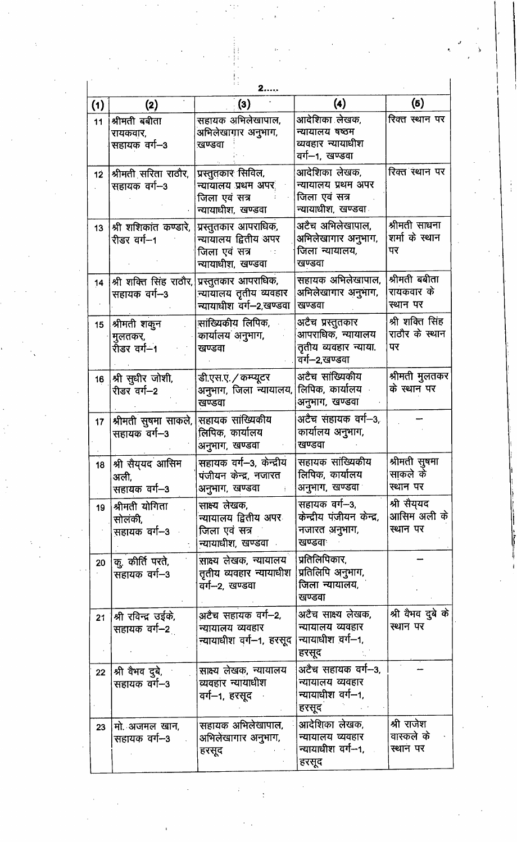| 2                |                                              |                                                                                    |                                                                                 |                                         |  |  |
|------------------|----------------------------------------------|------------------------------------------------------------------------------------|---------------------------------------------------------------------------------|-----------------------------------------|--|--|
| (1)              | (2)                                          | $\left(3\right)$                                                                   | $\left( 4\right)$                                                               | (6)                                     |  |  |
| 11               | श्रीमती बबीता<br>रायकवार,<br>सहायक वर्ग-3    | सहायक अभिलेखापाल,<br>अभिलेखागार अनुभाग,<br>खण्डवा                                  | आदेशिका लेखक,<br>न्यायालय षष्ठम<br>व्यवहार न्यायाधीश<br>वर्ग--1, खण्डवा         | रिक्त स्थान पर                          |  |  |
| 12 <sup>°</sup>  | श्रीमती सरिता राठौर,<br>सहायक वर्ग--3        | प्रस्तुतकार सिविल,<br>न्यायालय प्रथम अपर<br>जिला एवं सत्र<br>न्यायाधीश, खण्डवा     | आदेशिका लेखक,<br>न्यायालय प्रथम अपर<br>जिला एवं सत्र<br>न्यायाधीश, खण्डवा       | रिक्त स्थान पर                          |  |  |
| 13               | श्री शशिकांत कण्डारे,<br>रीडर वर्ग--1        | प्रस्तुतकार आपराधिक,<br>न्यायालय द्वितीय अपर<br>जिला एवं सत्र<br>न्यायाधीश, खण्डवा | अटैच अभिलेखापाल,<br>अभिलेखागार अनुभाग,<br>जिला न्यायालय,<br>खण्डवा              | श्रीमती साधना<br>शर्मा के स्थान<br>पर   |  |  |
| 14               | श्री शक्ति सिंह राठौर,<br>सहायक वर्ग--3      | प्रस्तुतकार आपराधिक,<br>न्यायालय तृतीय व्यवहार<br>न्यायाधीश वर्ग-2,खण्डवा          | सहायक अभिलेखापाल,<br>अभिलेखागार अनुभाग,<br>खण्डवा                               | श्रीमती बबीता<br>रायकवार के<br>स्थान पर |  |  |
| 15 <sub>15</sub> | श्रीमती शकुन<br>मुलतकर,<br>रीडर वर्ग—1       | सांख्यिकीय लिपिक,<br>कार्यालय अनुभाग,<br>खण्डवा                                    | अटैच प्रस्तुतकार<br>आपराधिक, न्यायालय<br>तृतीय व्यवहार न्याया.<br>वर्ग-2,खण्डवा | श्री शक्ति सिंह<br>राठौर के स्थान<br>पर |  |  |
| 16 <sup>°</sup>  | श्री सुधीर जोशी,<br>रीडर वर्ग-2              | डी.एस.ए. / कम्प्यूटर<br>अनुभाग, जिला न्यायालय,<br>खण्डवा                           | अटैच सांख्यिकीय<br>लिपिक, कार्यालय<br>अनुभाग, खण्डवा                            | श्रीमती मुलतकर<br>के स्थान पर           |  |  |
| 17 <sup>2</sup>  | श्रीमती सुषमा साकले,<br>सहायक वर्ग- 3        | सहायक सांख्यिकीय<br>लिपिक, कार्यालय<br>अनुभाग, खण्डवा                              | अटैच संहायक वर्ग—3,<br>कार्यालय अनुभाग,<br>खण्डवा                               |                                         |  |  |
|                  | 18  श्री सैय्यद आसिम<br>अली,<br>सहायक वर्ग—3 | सहायक वर्ग-3, केन्द्रीय<br>पंजीयन केन्द्र, नजारत<br>अनुभाग, खण्डवा                 | सहायक सांख्यिकीय<br>लिपिक, कार्यालय<br>अनुभाग, खण्डवा                           | श्रीमती सुषमा<br>साकले के<br>स्थान पर   |  |  |
| 19               | श्रीमती योगिता<br>सोलंकी.<br>सहायक वर्ग--3   | साक्ष्य लेखक,<br>न्यायालय द्वितीय अपर<br>जिला एवं सत्र<br>न्यायाधीश, खण्डवा        | सहायक वर्ग—3,<br>केन्द्रीय पंजीयन केन्द्र,<br>नजारत अनुभाग,<br>खण्डवाः          | श्री सैय्यद<br>आसिम अली के<br>स्थान पर  |  |  |
| 20               | कु. कीर्ति परते,<br>सहायक वर्ग-3             | साक्ष्य लेखक, न्यायालय<br>तृतीय व्यवहार न्यायाधीश<br>वर्ग--2, खण्डवा               | प्रतिलिपिकार,<br>प्रतिलिपि अनुभाग,<br>जिला न्यायालय,<br>खण्डवा                  |                                         |  |  |
| 21               | श्री रविन्द्र उईके,<br>सहायक वर्ग--2         | अटैच सहायक वर्ग—2,<br>न्यायालय व्यवहार<br>न्यायाधीश वर्ग—1, हरसूद                  | अटैच साक्ष्य लेखक,<br>न्यायालय व्यवहार<br>न्यायाधीश वर्ग—१,<br>हरसूद            | श्री वैभव दुबे के<br>स्थान पर           |  |  |
| 22 <sub>2</sub>  | श्री वैभव दुबे,<br>सहायक वर्ग--3             | साक्ष्य लेखक, न्यायालय<br>व्यवहार न्यायाधीश<br>वर्ग—1, हरसूद                       | अटैच सहायक वर्ग--3,<br>न्यायालय व्यवहार<br>न्यायाधीश वर्ग--1,<br>हरसूद          |                                         |  |  |
| 23               | मो. अजमल खान,<br>सहायक वर्ग--3               | सहायक अभिलेखापाल,<br>अभिलेखागार अनुभाग,<br>हरसूद                                   | आदेशिका लेखक,<br>न्यायालय व्यवहार<br>न्यायाधीश वर्ग-1,<br>हरसूद                 | श्री राजेश<br>वास्कले के<br>स्थान पर    |  |  |

 $\frac{1}{4}$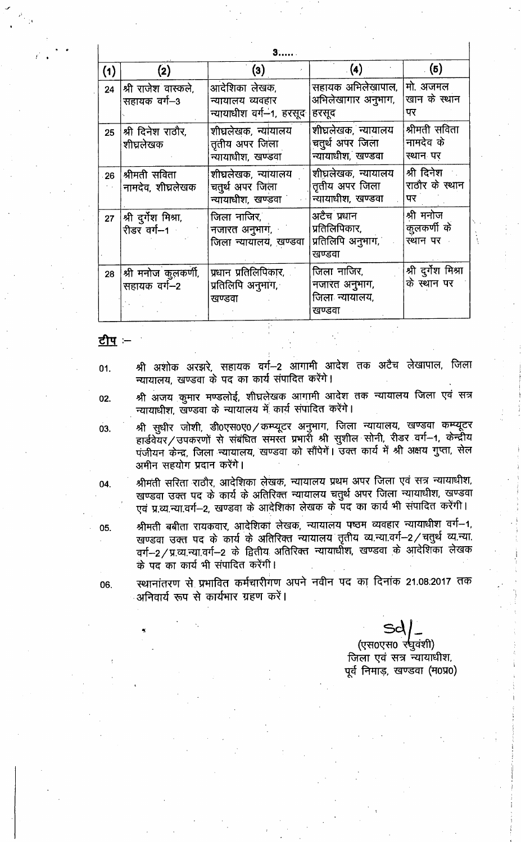| (1) | (2)                                                                        | (3)                                                          | $\left( 4\right)$                                           | (5)                                    |  |  |
|-----|----------------------------------------------------------------------------|--------------------------------------------------------------|-------------------------------------------------------------|----------------------------------------|--|--|
| 24  | श्री राजेश वास्कले,<br>सहायक वर्ग–3                                        | आदेशिका लेखक,<br>न्यायालय व्यवहार<br>न्यायाधीश वर्ग-1, हरसूद | सहायक अभिलेखापाल,<br>अभिलेखागार अनुभाग,<br>हरसूद            | मो. अजमल<br>खान के स्थान<br>पर         |  |  |
| 25  | $ \hspace{.04cm}\mathsf{st}\hspace{.02cm} $ श्री दिनेश राठौर,<br>शीघ्रलेखक | शीघ्रलेखक, न्यांयालय<br>तृतीय अपर जिला<br>न्यायाधीश, खण्डवा  | शीघ्रलेखक, न्यायालय<br>चतुर्थ अपर जिला<br>न्यायाधीश, खण्डवा | श्रीमती सविता<br>नामदेव के<br>स्थान पर |  |  |
| 26  | श्रीमती सविता<br>नामदेव, शीघ्रलेखक                                         | शीघ्रलेखक, न्यायालय<br>चतुर्थ अपर जिला<br>न्यायाधीश, खण्डवा  | शीघ्रलेखक, न्यायालय<br>तृतीय अपर जिला<br>न्यायाधीश, खण्डवा  | श्री दिनेश<br>राठौर के स्थान<br>पर     |  |  |
| 27  | श्री दुर्गेश मिश्रा,<br>रीडर वर्ग-1                                        | जिला नाजिर.<br>नजारत अनुभाग,<br>जिला न्यायालय, खण्डवा        | अटैच प्रधान<br>प्रतिलिपिकार,<br>प्रतिलिपि अनुभाग,<br>खण्डवा | श्री मनोज<br>कुलकर्णी के<br>ख्यान पर   |  |  |
| 28  | श्री मनोज कुलकर्णी,<br>सहायक वर्ग-2                                        | प्रधान प्रतिलिपिकार,<br>प्रतिलिपि अनुभाग,<br>खण्डवा          | जिला नाजिर,<br>नजारत अनुभाग,<br>जिला न्यायालय,<br>खण्डवा    | श्री दुर्गेश मिश्रा<br>के स्थान पर     |  |  |

<u>टीप</u> :--

श्री अशोक अरझरे, सहायक वर्ग--2 आगामी आदेश तक अटैच लेखापाल, जिला 01. न्यायालय, खण्डवा के पद का कार्य संपादित करेंगे।

श्री अजय कुमार मण्डलोई, शीघ्रलेखक आगामी आदेश तक न्यायालय जिला एवं सत्र 02. न्यायाधीश, खण्डवा के न्यायालय में कार्य संपादित करेंगे।

श्री सुधीर जोशी, डी0एस0ए0 / कम्प्यूटर अनुभाग, जिला न्यायालय, खण्डवा कम्प्यूटर 03. हार्डवेयर/उपकरणों से संबंधित समस्त प्रभारों श्री सुशील सोनी, रीडर वर्ग-1, केन्द्रीय पंजीयन केन्द्र, जिला न्यायालय, खण्डवा को सौंपेगें। उक्त कार्य में श्री अक्षय गुप्ता, सेल अमीन सहयोग प्रदान करेंगे।

श्रीमती सरिता राठौर, आदेशिका लेखक, न्यायालय प्रथम अपर जिला एवं सत्र न्यायाधीश, 04. खण्डवा उक्त पद के कार्य के अतिरिक्त न्यायालय चतुर्थ अपर जिला न्यायाधीश, खण्डवा एवं प्र.व्य.न्या.वर्ग-2, खण्डवा के आदेशिका लेखक के पद का कार्य भी संपादित करेंगी।

श्रीमती बबीता रायकवार, आदेशिका लेखक, न्यायालय पष्ठम व्यवहार न्यायाधीश वर्ग-1, खण्डवा उक्त पद के कार्य के अतिरिक्त न्यायालय तृतीय व्य.न्या.वर्ग-2 / चतुर्थ व्य.न्या. वर्ग-2/प्र.व्य.न्या.वर्ग-2 के द्वितीय अतिरिक्त न्यायाधीश, खण्डवा के आदेशिका लेखक के पद का कार्य भी संपादित करेंगी।

06.

05.

स्थानांतरण से प्रभावित कर्मचारीगण अपने नवीन पद का दिनांक 21.08.2017 तक अनिवार्य रूप से कार्यभार ग्रहण करें।

> (एस0एस0 र्र्षयंशी) जिला एवं सत्र न्यायाधीश, पर्व निमाड, खण्डवा (म0प्र0)

 $\mathbf{I}$